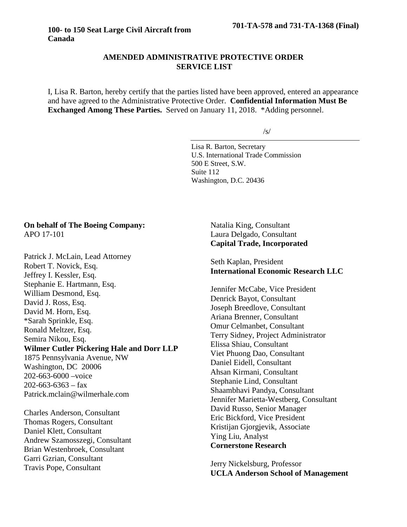## **AMENDED ADMINISTRATIVE PROTECTIVE ORDER SERVICE LIST**

I, Lisa R. Barton, hereby certify that the parties listed have been approved, entered an appearance and have agreed to the Administrative Protective Order. **Confidential Information Must Be Exchanged Among These Parties.** Served on January 11, 2018. \*Adding personnel.

/s/

Lisa R. Barton, Secretary U.S. International Trade Commission 500 E Street, S.W. Suite 112 Washington, D.C. 20436

### **On behalf of The Boeing Company:** APO 17-101

Patrick J. McLain, Lead Attorney Robert T. Novick, Esq. Jeffrey I. Kessler, Esq. Stephanie E. Hartmann, Esq. William Desmond, Esq. David J. Ross, Esq. David M. Horn, Esq. \*Sarah Sprinkle, Esq. Ronald Meltzer, Esq. Semira Nikou, Esq. **Wilmer Cutler Pickering Hale and Dorr LLP** 1875 Pennsylvania Avenue, NW Washington, DC 20006 202-663-6000 –voice  $202 - 663 - 6363 - 68$ Patrick.mclain@wilmerhale.com Charles Anderson, Consultant Thomas Rogers, Consultant Daniel Klett, Consultant Andrew Szamosszegi, Consultant Brian Westenbroek, Consultant

Garri Gzrian, Consultant Travis Pope, Consultant

Natalia King, Consultant Laura Delgado, Consultant **Capital Trade, Incorporated**

Seth Kaplan, President **International Economic Research LLC**

Jennifer McCabe, Vice President Denrick Bayot, Consultant Joseph Breedlove, Consultant Ariana Brenner, Consultant Omur Celmanbet, Consultant Terry Sidney, Project Administrator Elissa Shiau, Consultant Viet Phuong Dao, Consultant Daniel Eidell, Consultant Ahsan Kirmani, Consultant Stephanie Lind, Consultant Shaambhavi Pandya, Consultant Jennifer Marietta-Westberg, Consultant David Russo, Senior Manager Eric Bickford, Vice President Kristijan Gjorgjevik, Associate Ying Liu, Analyst **Cornerstone Research**

Jerry Nickelsburg, Professor **UCLA Anderson School of Management**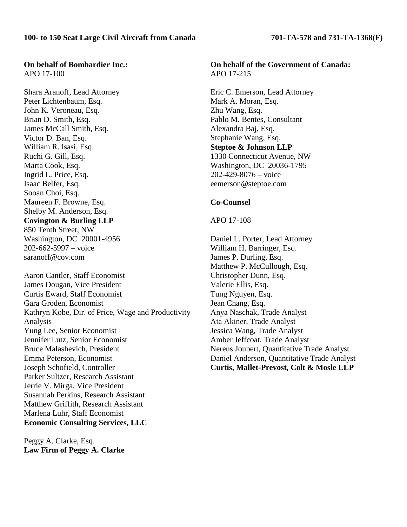#### **On behalf of Bombardier Inc.:** APO 17-100

Shara Aranoff, Lead Attorney Peter Lichtenbaum, Esq. John K. Veroneau, Esq. Brian D. Smith, Esq. James McCall Smith, Esq. Victor D. Ban, Esq. William R. Isasi, Esq. Ruchi G. Gill, Esq. Marta Cook, Esq. Ingrid L. Price, Esq. Isaac Belfer, Esq. Sooan Choi, Esq. Maureen F. Browne, Esq. Shelby M. Anderson, Esq. **Covington & Burling LLP** 850 Tenth Street, NW Washington, DC 20001-4956 202-662-5997 – voice saranoff@cov.com

Aaron Cantler, Staff Economist James Dougan, Vice President Curtis Eward, Staff Economist Gara Groden, Economist Kathryn Kobe, Dir. of Price, Wage and Productivity Analysis Yung Lee, Senior Economist Jennifer Lutz, Senior Economist Bruce Malashevich, President Emma Peterson, Economist Joseph Schofield, Controller Parker Sultzer, Research Assistant Jerrie V. Mirga, Vice President Susannah Perkins, Research Assistant Matthew Griffith, Research Assistant Marlena Luhr, Staff Economist **Economic Consulting Services, LLC**

Peggy A. Clarke, Esq. **Law Firm of Peggy A. Clarke**

## **On behalf of the Government of Canada:** APO 17-215

Eric C. Emerson, Lead Attorney Mark A. Moran, Esq. Zhu Wang, Esq. Pablo M. Bentes, Consultant Alexandra Baj, Esq. Stephanie Wang, Esq. **Steptoe & Johnson LLP** 1330 Connecticut Avenue, NW Washington, DC 20036-1795 202-429-8076 – voice eemerson@steptoe.com

### **Co-Counsel**

#### APO 17-108

Daniel L. Porter, Lead Attorney William H. Barringer, Esq. James P. Durling, Esq. Matthew P. McCullough, Esq. Christopher Dunn, Esq. Valerie Ellis, Esq. Tung Nguyen, Esq. Jean Chang, Esq. Anya Naschak, Trade Analyst Ata Akiner, Trade Analyst Jessica Wang, Trade Analyst Amber Jeffcoat, Trade Analyst Nereus Joubert, Quantitative Trade Analyst Daniel Anderson, Quantitative Trade Analyst **Curtis, Mallet-Prevost, Colt & Mosle LLP**